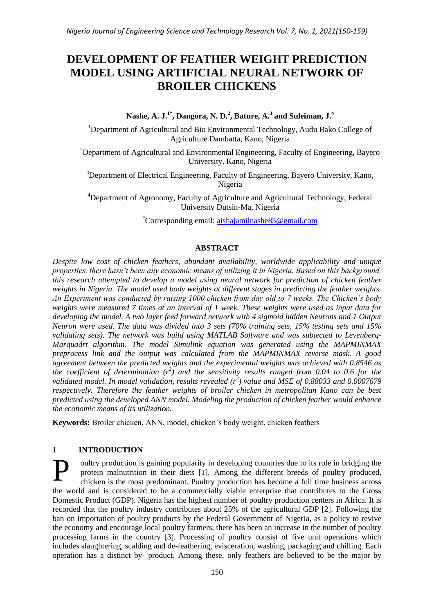# **DEVELOPMENT OF FEATHER WEIGHT PREDICTION MODEL USING ARTIFICIAL NEURAL NETWORK OF BROILER CHICKENS**

**Nashe, A. J.1\*, Dangora, N. D.<sup>2</sup> , Bature, A.<sup>3</sup> and Suleiman, J.<sup>4</sup>**

<sup>1</sup>Department of Agricultural and Bio Environmental Technology, Audu Bako College of Agriculture Dambatta, Kano, Nigeria

<sup>2</sup>Department of Agricultural and Environmental Engineering, Faculty of Engineering, Bayero University, Kano, Nigeria

<sup>3</sup>Department of Electrical Engineering, Faculty of Engineering, Bayero University, Kano, Nigeria

<sup>4</sup>Department of Agronomy, Faculty of Agriculture and Agricultural Technology, Federal University Dutsin-Ma, Nigeria

\*Corresponding email: [aishajamilnashe85@gmail.com](mailto:aishajamilnashe85@gmail.com)

## **ABSTRACT**

*Despite low cost of chicken feathers, abundant availability, worldwide applicability and unique properties, there hasn't been any economic means of utilizing it in Nigeria. Based on this background, this research attempted to develop a model using neural network for prediction of chicken feather weights in Nigeria. The model used body weights at different stages in predicting the feather weights. An Experiment was conducted by raising 1000 chicken from day old to 7 weeks. The Chicken's body weights were measured 7 times at an interval of 1 week. These weights were used as input data for developing the model. A two layer feed forward network with 4 sigmoid hidden Neurons and 1 Output Neuron were used. The data was divided into 3 sets (70% training sets, 15% testing sets and 15% validating sets). The network was build using MATLAB Software and was subjected to Levenberg-Marquadrt algorithm. The model Simulink equation was generated using the MAPMINMAX preprocess link and the output was calculated from the MAPMINMAX reverse mask. A good agreement between the predicted weights and the experimental weights was achieved with 0.8546 as the coefficient of determination*  $(r^2)$  and the sensitivity results ranged from 0.04 to 0.6 for the *validated model. In model validation, results revealed (r<sup>2</sup> ) value and MSE of 0.88033 and 0.0007679 respectively. Therefore the feather weights of broiler chicken in metropolitan Kano can be best predicted using the developed ANN model. Modeling the production of chicken feather would enhance the economic means of its utilization.*

**Keywords:** Broiler chicken, ANN, model, chicken"s body weight, chicken feathers

# **1 INTRODUCTION**

oultry production is gaining popularity in developing countries due to its role in bridging the protein malnutrition in their diets [1]. Among the different breeds of poultry produced, chicken is the most predominant. Poultry production has become a full time business across the world and is considered to be a commercially viable enterprise that contributes to the Gross Domestic Product (GDP). Nigeria has the highest number of poultry production centers in Africa. It is recorded that the poultry industry contributes about 25% of the agricultural GDP [2]. Following the ban on importation of poultry products by the Federal Government of Nigeria, as a policy to revive the economy and encourage local poultry farmers, there has been an increase in the number of poultry processing farms in the country [3]. Processing of poultry consist of five unit operations which includes slaughtering, scalding and de-feathering, evisceration, washing, packaging and chilling. Each operation has a distinct by- product. Among these, only feathers are believed to be the major by P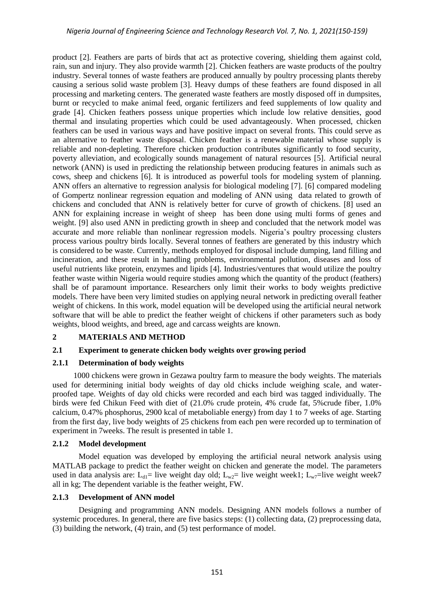product [2]. Feathers are parts of birds that act as protective covering, shielding them against cold, rain, sun and injury. They also provide warmth [2]. Chicken feathers are waste products of the poultry industry. Several tonnes of waste feathers are produced annually by poultry processing plants thereby causing a serious solid waste problem [3]. Heavy dumps of these feathers are found disposed in all processing and marketing centers. The generated waste feathers are mostly disposed off in dumpsites, burnt or recycled to make animal feed, organic fertilizers and feed supplements of low quality and grade [4]. Chicken feathers possess unique properties which include low relative densities, good thermal and insulating properties which could be used advantageously. When processed, chicken feathers can be used in various ways and have positive impact on several fronts. This could serve as an alternative to feather waste disposal. Chicken feather is a renewable material whose supply is reliable and non-depleting. Therefore chicken production contributes significantly to food security, poverty alleviation, and ecologically sounds management of natural resources [5]. Artificial neural network (ANN) is used in predicting the relationship between producing features in animals such as cows, sheep and chickens [6]. It is introduced as powerful tools for modeling system of planning. ANN offers an alternative to regression analysis for biological modeling [7]. [6] compared modeling of Gompertz nonlinear regression equation and modeling of ANN using data related to growth of chickens and concluded that ANN is relatively better for curve of growth of chickens. [8] used an ANN for explaining increase in weight of sheep has been done using multi forms of genes and weight. [9] also used ANN in predicting growth in sheep and concluded that the network model was accurate and more reliable than nonlinear regression models. Nigeria"s poultry processing clusters process various poultry birds locally. Several tonnes of feathers are generated by this industry which is considered to be waste. Currently, methods employed for disposal include dumping, land filling and incineration, and these result in handling problems, environmental pollution, diseases and loss of useful nutrients like protein, enzymes and lipids [4]. Industries/ventures that would utilize the poultry feather waste within Nigeria would require studies among which the quantity of the product (feathers) shall be of paramount importance. Researchers only limit their works to body weights predictive models. There have been very limited studies on applying neural network in predicting overall feather weight of chickens. In this work, model equation will be developed using the artificial neural network software that will be able to predict the feather weight of chickens if other parameters such as body weights, blood weights, and breed, age and carcass weights are known.

#### **2 MATERIALS AND METHOD**

#### **2.1 Experiment to generate chicken body weights over growing period**

#### **2.1.1 Determination of body weights**

1000 chickens were grown in Gezawa poultry farm to measure the body weights. The materials used for determining initial body weights of day old chicks include weighing scale, and waterproofed tape. Weights of day old chicks were recorded and each bird was tagged individually. The birds were fed Chikun Feed with diet of (21.0% crude protein, 4% crude fat, 5%crude fiber, 1.0% calcium, 0.47% phosphorus, 2900 kcal of metaboliable energy) from day 1 to 7 weeks of age. Starting from the first day, live body weights of 25 chickens from each pen were recorded up to termination of experiment in 7weeks. The result is presented in table 1.

#### **2.1.2 Model development**

Model equation was developed by employing the artificial neural network analysis using MATLAB package to predict the feather weight on chicken and generate the model. The parameters used in data analysis are:  $L_{d1}=$  live weight day old;  $L_{w2}=$  live weight week1;  $L_{w7}=$ live weight week7 all in kg; The dependent variable is the feather weight, FW.

## **2.1.3 Development of ANN model**

Designing and programming ANN models. Designing ANN models follows a number of systemic procedures. In general, there are five basics steps: (1) collecting data, (2) preprocessing data, (3) building the network, (4) train, and (5) test performance of model.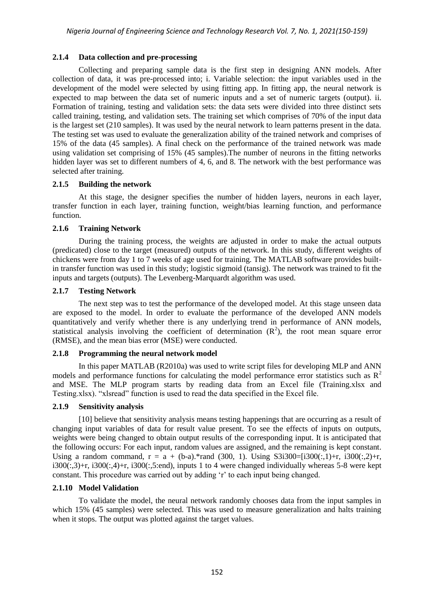## **2.1.4 Data collection and pre-processing**

Collecting and preparing sample data is the first step in designing ANN models. After collection of data, it was pre-processed into; i. Variable selection: the input variables used in the development of the model were selected by using fitting app. In fitting app, the neural network is expected to map between the data set of numeric inputs and a set of numeric targets (output). ii. Formation of training, testing and validation sets: the data sets were divided into three distinct sets called training, testing, and validation sets. The training set which comprises of 70% of the input data is the largest set (210 samples). It was used by the neural network to learn patterns present in the data. The testing set was used to evaluate the generalization ability of the trained network and comprises of 15% of the data (45 samples). A final check on the performance of the trained network was made using validation set comprising of 15% (45 samples).The number of neurons in the fitting networks hidden layer was set to different numbers of 4, 6, and 8. The network with the best performance was selected after training.

## **2.1.5 Building the network**

At this stage, the designer specifies the number of hidden layers, neurons in each layer, transfer function in each layer, training function, weight/bias learning function, and performance function.

## **2.1.6 Training Network**

During the training process, the weights are adjusted in order to make the actual outputs (predicated) close to the target (measured) outputs of the network. In this study, different weights of chickens were from day 1 to 7 weeks of age used for training. The MATLAB software provides builtin transfer function was used in this study; logistic sigmoid (tansig). The network was trained to fit the inputs and targets (outputs). The Levenberg-Marquardt algorithm was used.

## **2.1.7 Testing Network**

The next step was to test the performance of the developed model. At this stage unseen data are exposed to the model. In order to evaluate the performance of the developed ANN models quantitatively and verify whether there is any underlying trend in performance of ANN models, statistical analysis involving the coefficient of determination  $(R^2)$ , the root mean square error (RMSE), and the mean bias error (MSE) were conducted.

#### **2.1.8 Programming the neural network model**

In this paper MATLAB (R2010a) was used to write script files for developing MLP and ANN models and performance functions for calculating the model performance error statistics such as  $R^2$ and MSE. The MLP program starts by reading data from an Excel file (Training.xlsx and Testing.xlsx). "xlsread" function is used to read the data specified in the Excel file.

#### **2.1.9 Sensitivity analysis**

[10] believe that sensitivity analysis means testing happenings that are occurring as a result of changing input variables of data for result value present. To see the effects of inputs on outputs, weights were being changed to obtain output results of the corresponding input. It is anticipated that the following occurs: For each input, random values are assigned, and the remaining is kept constant. Using a random command,  $r = a + (b-a).*$ rand (300, 1). Using S3i300=[i300(:,1)+r, i300(:,2)+r,  $i300(:,3)+r$ ,  $i300(:,4)+r$ ,  $i300(:,5):$ end), inputs 1 to 4 were changed individually whereas 5-8 were kept constant. This procedure was carried out by adding "r" to each input being changed.

#### **2.1.10 Model Validation**

To validate the model, the neural network randomly chooses data from the input samples in which 15% (45 samples) were selected. This was used to measure generalization and halts training when it stops. The output was plotted against the target values.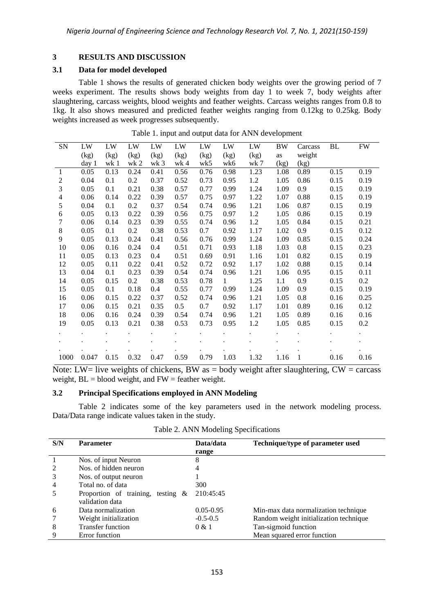## **3 RESULTS AND DISCUSSION**

#### **3.1 Data for model developed**

Table 1 shows the results of generated chicken body weights over the growing period of 7 weeks experiment. The results shows body weights from day 1 to week 7, body weights after slaughtering, carcass weights, blood weights and feather weights. Carcass weights ranges from 0.8 to 1kg. It also shows measured and predicted feather weights ranging from 0.12kg to 0.25kg. Body weights increased as week progresses subsequently.

| (kg)<br>(kg)<br>(kg)<br>(kg)<br>(kg)<br>(kg)<br>(kg)<br>(kg)<br>weight<br>as<br>wk <sub>3</sub><br>wk5<br>day 1<br>wk 1<br>wk <sub>2</sub><br>wk 4<br>wk6<br>wk 7<br>(kg)<br>(kg)<br>0.13<br>0.24<br>0.56<br>0.76<br>0.98<br>1.23<br>0.19<br>0.05<br>0.41<br>1.08<br>0.89<br>0.15<br>-1<br>0.52<br>0.73<br>0.95<br>2<br>0.04<br>0.1<br>0.2<br>0.37<br>1.2<br>1.05<br>0.86<br>0.15<br>0.19<br>3<br>0.21<br>0.38<br>0.57<br>0.77<br>0.99<br>1.24<br>1.09<br>0.9<br>0.15<br>0.19<br>0.05<br>0.1<br>$\overline{4}$<br>0.14<br>0.22<br>0.39<br>0.57<br>0.75<br>0.97<br>1.22<br>0.88<br>0.15<br>0.19<br>0.06<br>1.07<br>5<br>0.1<br>0.2<br>0.37<br>0.54<br>0.74<br>0.96<br>1.21<br>0.87<br>0.15<br>0.19<br>0.04<br>1.06<br>0.13<br>0.22<br>0.39<br>0.56<br>0.75<br>0.97<br>1.2<br>0.86<br>0.15<br>0.19<br>0.05<br>1.05<br>6<br>7<br>0.14<br>0.23<br>0.55<br>0.96<br>1.2<br>0.15<br>0.21<br>0.06<br>0.39<br>0.74<br>1.05<br>0.84<br>$\,8\,$<br>0.2<br>0.38<br>0.53<br>0.92<br>1.17<br>1.02<br>0.9 <sub>o</sub><br>0.15<br>0.12<br>0.05<br>0.1<br>0.7<br>9<br>0.99<br>0.05<br>0.13<br>0.24<br>0.41<br>0.56<br>0.76<br>1.24<br>1.09<br>0.85<br>0.15<br>0.24<br>0.51<br>0.8<br>10<br>0.06<br>0.16<br>0.24<br>0.4<br>0.71<br>0.93<br>1.18<br>0.15<br>0.23<br>1.03<br>0.51<br>0.13<br>0.23<br>0.69<br>0.91<br>0.82<br>0.19<br>11<br>0.05<br>0.4<br>1.16<br>1.01<br>0.15<br>12<br>0.05<br>0.11<br>0.22<br>0.52<br>0.72<br>0.92<br>1.02<br>0.88<br>0.15<br>0.14<br>0.41<br>1.17<br>13<br>0.23<br>0.39<br>0.54<br>0.74<br>0.96<br>1.21<br>1.06<br>0.95<br>0.15<br>0.11<br>0.04<br>0.1<br>$0.2\,$<br>14<br>0.05<br>0.2<br>1.25<br>0.9<br>0.15<br>0.38<br>0.53<br>0.78<br>$\mathbf{1}$<br>1.1<br>0.15<br>0.55<br>15<br>0.05<br>0.1<br>0.18<br>0.4<br>0.77<br>0.99<br>1.24<br>0.9<br>0.15<br>0.19<br>1.09<br>0.06<br>0.15<br>0.22<br>0.52<br>0.74<br>0.96<br>1.21<br>0.8<br>0.16<br>0.25<br>16<br>0.37<br>1.05<br>0.5<br>17<br>0.15<br>0.21<br>0.35<br>0.7<br>0.92<br>0.89<br>0.12<br>0.06<br>1.17<br>1.01<br>0.16<br>18<br>0.39<br>0.89<br>0.06<br>0.16<br>0.24<br>0.54<br>0.74<br>0.96<br>1.21<br>1.05<br>0.16<br>0.16<br>1.2<br>19<br>0.05<br>0.13<br>0.21<br>0.38<br>0.53<br>0.73<br>0.95<br>1.05<br>0.85<br>0.15<br>0.2<br>$\ddot{\phantom{0}}$<br>$\ddot{\phantom{0}}$<br>$\ddot{\phantom{0}}$<br>0.15<br>0.32<br>0.59<br>0.79<br>1.03<br>0.047<br>0.47<br>1.32<br>1.16<br>$\overline{1}$<br>0.16<br>1000<br>0.16 | SN | LW | LW | LW | LW | LW | LW | LW | LW | BW | Carcass | BL | <b>FW</b> |
|-------------------------------------------------------------------------------------------------------------------------------------------------------------------------------------------------------------------------------------------------------------------------------------------------------------------------------------------------------------------------------------------------------------------------------------------------------------------------------------------------------------------------------------------------------------------------------------------------------------------------------------------------------------------------------------------------------------------------------------------------------------------------------------------------------------------------------------------------------------------------------------------------------------------------------------------------------------------------------------------------------------------------------------------------------------------------------------------------------------------------------------------------------------------------------------------------------------------------------------------------------------------------------------------------------------------------------------------------------------------------------------------------------------------------------------------------------------------------------------------------------------------------------------------------------------------------------------------------------------------------------------------------------------------------------------------------------------------------------------------------------------------------------------------------------------------------------------------------------------------------------------------------------------------------------------------------------------------------------------------------------------------------------------------------------------------------------------------------------------------------------------------------------------------------------------------------------------------------------------------------------------------------------------------------------------------------------------------------------------------------------------------------------|----|----|----|----|----|----|----|----|----|----|---------|----|-----------|
|                                                                                                                                                                                                                                                                                                                                                                                                                                                                                                                                                                                                                                                                                                                                                                                                                                                                                                                                                                                                                                                                                                                                                                                                                                                                                                                                                                                                                                                                                                                                                                                                                                                                                                                                                                                                                                                                                                                                                                                                                                                                                                                                                                                                                                                                                                                                                                                                       |    |    |    |    |    |    |    |    |    |    |         |    |           |
|                                                                                                                                                                                                                                                                                                                                                                                                                                                                                                                                                                                                                                                                                                                                                                                                                                                                                                                                                                                                                                                                                                                                                                                                                                                                                                                                                                                                                                                                                                                                                                                                                                                                                                                                                                                                                                                                                                                                                                                                                                                                                                                                                                                                                                                                                                                                                                                                       |    |    |    |    |    |    |    |    |    |    |         |    |           |
|                                                                                                                                                                                                                                                                                                                                                                                                                                                                                                                                                                                                                                                                                                                                                                                                                                                                                                                                                                                                                                                                                                                                                                                                                                                                                                                                                                                                                                                                                                                                                                                                                                                                                                                                                                                                                                                                                                                                                                                                                                                                                                                                                                                                                                                                                                                                                                                                       |    |    |    |    |    |    |    |    |    |    |         |    |           |
|                                                                                                                                                                                                                                                                                                                                                                                                                                                                                                                                                                                                                                                                                                                                                                                                                                                                                                                                                                                                                                                                                                                                                                                                                                                                                                                                                                                                                                                                                                                                                                                                                                                                                                                                                                                                                                                                                                                                                                                                                                                                                                                                                                                                                                                                                                                                                                                                       |    |    |    |    |    |    |    |    |    |    |         |    |           |
|                                                                                                                                                                                                                                                                                                                                                                                                                                                                                                                                                                                                                                                                                                                                                                                                                                                                                                                                                                                                                                                                                                                                                                                                                                                                                                                                                                                                                                                                                                                                                                                                                                                                                                                                                                                                                                                                                                                                                                                                                                                                                                                                                                                                                                                                                                                                                                                                       |    |    |    |    |    |    |    |    |    |    |         |    |           |
|                                                                                                                                                                                                                                                                                                                                                                                                                                                                                                                                                                                                                                                                                                                                                                                                                                                                                                                                                                                                                                                                                                                                                                                                                                                                                                                                                                                                                                                                                                                                                                                                                                                                                                                                                                                                                                                                                                                                                                                                                                                                                                                                                                                                                                                                                                                                                                                                       |    |    |    |    |    |    |    |    |    |    |         |    |           |
|                                                                                                                                                                                                                                                                                                                                                                                                                                                                                                                                                                                                                                                                                                                                                                                                                                                                                                                                                                                                                                                                                                                                                                                                                                                                                                                                                                                                                                                                                                                                                                                                                                                                                                                                                                                                                                                                                                                                                                                                                                                                                                                                                                                                                                                                                                                                                                                                       |    |    |    |    |    |    |    |    |    |    |         |    |           |
|                                                                                                                                                                                                                                                                                                                                                                                                                                                                                                                                                                                                                                                                                                                                                                                                                                                                                                                                                                                                                                                                                                                                                                                                                                                                                                                                                                                                                                                                                                                                                                                                                                                                                                                                                                                                                                                                                                                                                                                                                                                                                                                                                                                                                                                                                                                                                                                                       |    |    |    |    |    |    |    |    |    |    |         |    |           |
|                                                                                                                                                                                                                                                                                                                                                                                                                                                                                                                                                                                                                                                                                                                                                                                                                                                                                                                                                                                                                                                                                                                                                                                                                                                                                                                                                                                                                                                                                                                                                                                                                                                                                                                                                                                                                                                                                                                                                                                                                                                                                                                                                                                                                                                                                                                                                                                                       |    |    |    |    |    |    |    |    |    |    |         |    |           |
|                                                                                                                                                                                                                                                                                                                                                                                                                                                                                                                                                                                                                                                                                                                                                                                                                                                                                                                                                                                                                                                                                                                                                                                                                                                                                                                                                                                                                                                                                                                                                                                                                                                                                                                                                                                                                                                                                                                                                                                                                                                                                                                                                                                                                                                                                                                                                                                                       |    |    |    |    |    |    |    |    |    |    |         |    |           |
|                                                                                                                                                                                                                                                                                                                                                                                                                                                                                                                                                                                                                                                                                                                                                                                                                                                                                                                                                                                                                                                                                                                                                                                                                                                                                                                                                                                                                                                                                                                                                                                                                                                                                                                                                                                                                                                                                                                                                                                                                                                                                                                                                                                                                                                                                                                                                                                                       |    |    |    |    |    |    |    |    |    |    |         |    |           |
|                                                                                                                                                                                                                                                                                                                                                                                                                                                                                                                                                                                                                                                                                                                                                                                                                                                                                                                                                                                                                                                                                                                                                                                                                                                                                                                                                                                                                                                                                                                                                                                                                                                                                                                                                                                                                                                                                                                                                                                                                                                                                                                                                                                                                                                                                                                                                                                                       |    |    |    |    |    |    |    |    |    |    |         |    |           |
|                                                                                                                                                                                                                                                                                                                                                                                                                                                                                                                                                                                                                                                                                                                                                                                                                                                                                                                                                                                                                                                                                                                                                                                                                                                                                                                                                                                                                                                                                                                                                                                                                                                                                                                                                                                                                                                                                                                                                                                                                                                                                                                                                                                                                                                                                                                                                                                                       |    |    |    |    |    |    |    |    |    |    |         |    |           |
|                                                                                                                                                                                                                                                                                                                                                                                                                                                                                                                                                                                                                                                                                                                                                                                                                                                                                                                                                                                                                                                                                                                                                                                                                                                                                                                                                                                                                                                                                                                                                                                                                                                                                                                                                                                                                                                                                                                                                                                                                                                                                                                                                                                                                                                                                                                                                                                                       |    |    |    |    |    |    |    |    |    |    |         |    |           |
|                                                                                                                                                                                                                                                                                                                                                                                                                                                                                                                                                                                                                                                                                                                                                                                                                                                                                                                                                                                                                                                                                                                                                                                                                                                                                                                                                                                                                                                                                                                                                                                                                                                                                                                                                                                                                                                                                                                                                                                                                                                                                                                                                                                                                                                                                                                                                                                                       |    |    |    |    |    |    |    |    |    |    |         |    |           |
|                                                                                                                                                                                                                                                                                                                                                                                                                                                                                                                                                                                                                                                                                                                                                                                                                                                                                                                                                                                                                                                                                                                                                                                                                                                                                                                                                                                                                                                                                                                                                                                                                                                                                                                                                                                                                                                                                                                                                                                                                                                                                                                                                                                                                                                                                                                                                                                                       |    |    |    |    |    |    |    |    |    |    |         |    |           |
|                                                                                                                                                                                                                                                                                                                                                                                                                                                                                                                                                                                                                                                                                                                                                                                                                                                                                                                                                                                                                                                                                                                                                                                                                                                                                                                                                                                                                                                                                                                                                                                                                                                                                                                                                                                                                                                                                                                                                                                                                                                                                                                                                                                                                                                                                                                                                                                                       |    |    |    |    |    |    |    |    |    |    |         |    |           |
|                                                                                                                                                                                                                                                                                                                                                                                                                                                                                                                                                                                                                                                                                                                                                                                                                                                                                                                                                                                                                                                                                                                                                                                                                                                                                                                                                                                                                                                                                                                                                                                                                                                                                                                                                                                                                                                                                                                                                                                                                                                                                                                                                                                                                                                                                                                                                                                                       |    |    |    |    |    |    |    |    |    |    |         |    |           |
|                                                                                                                                                                                                                                                                                                                                                                                                                                                                                                                                                                                                                                                                                                                                                                                                                                                                                                                                                                                                                                                                                                                                                                                                                                                                                                                                                                                                                                                                                                                                                                                                                                                                                                                                                                                                                                                                                                                                                                                                                                                                                                                                                                                                                                                                                                                                                                                                       |    |    |    |    |    |    |    |    |    |    |         |    |           |
|                                                                                                                                                                                                                                                                                                                                                                                                                                                                                                                                                                                                                                                                                                                                                                                                                                                                                                                                                                                                                                                                                                                                                                                                                                                                                                                                                                                                                                                                                                                                                                                                                                                                                                                                                                                                                                                                                                                                                                                                                                                                                                                                                                                                                                                                                                                                                                                                       |    |    |    |    |    |    |    |    |    |    |         |    |           |
|                                                                                                                                                                                                                                                                                                                                                                                                                                                                                                                                                                                                                                                                                                                                                                                                                                                                                                                                                                                                                                                                                                                                                                                                                                                                                                                                                                                                                                                                                                                                                                                                                                                                                                                                                                                                                                                                                                                                                                                                                                                                                                                                                                                                                                                                                                                                                                                                       |    |    |    |    |    |    |    |    |    |    |         |    |           |
|                                                                                                                                                                                                                                                                                                                                                                                                                                                                                                                                                                                                                                                                                                                                                                                                                                                                                                                                                                                                                                                                                                                                                                                                                                                                                                                                                                                                                                                                                                                                                                                                                                                                                                                                                                                                                                                                                                                                                                                                                                                                                                                                                                                                                                                                                                                                                                                                       |    |    |    |    |    |    |    |    |    |    |         |    |           |
|                                                                                                                                                                                                                                                                                                                                                                                                                                                                                                                                                                                                                                                                                                                                                                                                                                                                                                                                                                                                                                                                                                                                                                                                                                                                                                                                                                                                                                                                                                                                                                                                                                                                                                                                                                                                                                                                                                                                                                                                                                                                                                                                                                                                                                                                                                                                                                                                       |    |    |    |    |    |    |    |    |    |    |         |    |           |
|                                                                                                                                                                                                                                                                                                                                                                                                                                                                                                                                                                                                                                                                                                                                                                                                                                                                                                                                                                                                                                                                                                                                                                                                                                                                                                                                                                                                                                                                                                                                                                                                                                                                                                                                                                                                                                                                                                                                                                                                                                                                                                                                                                                                                                                                                                                                                                                                       |    |    |    |    |    |    |    |    |    |    |         |    |           |
| $\mathbf{r}$ and $\mathbf{r}$ and $\mathbf{r}$ and $\mathbf{r}$ and $\mathbf{r}$ and $\mathbf{r}$ and $\mathbf{r}$ and $\mathbf{r}$<br>$\mathbf{r}$ and $\mathbf{r}$                                                                                                                                                                                                                                                                                                                                                                                                                                                                                                                                                                                                                                                                                                                                                                                                                                                                                                                                                                                                                                                                                                                                                                                                                                                                                                                                                                                                                                                                                                                                                                                                                                                                                                                                                                                                                                                                                                                                                                                                                                                                                                                                                                                                                                  |    |    |    |    |    |    |    |    |    |    |         |    |           |

Table 1. input and output data for ANN development

Note: LW= live weights of chickens, BW as = body weight after slaughtering,  $CW =$  carcass weight,  $BL = blood$  weight, and  $FW =$  feather weight.

#### **3.2 Principal Specifications employed in ANN Modeling**

Table 2 indicates some of the key parameters used in the network modeling process. Data/Data range indicate values taken in the study.

| S/N            | <b>Parameter</b>                                        | Data/data     | Technique/type of parameter used       |  |  |
|----------------|---------------------------------------------------------|---------------|----------------------------------------|--|--|
|                |                                                         | range         |                                        |  |  |
|                | Nos. of input Neuron                                    | 8             |                                        |  |  |
| $\mathfrak{D}$ | Nos. of hidden neuron                                   | 4             |                                        |  |  |
|                | Nos. of output neuron                                   |               |                                        |  |  |
| 4              | Total no. of data                                       | 300           |                                        |  |  |
|                | Proportion of training, testing $\&$<br>validation data | 210:45:45     |                                        |  |  |
| 6              | Data normalization                                      | $0.05 - 0.95$ | Min-max data normalization technique   |  |  |
|                | Weight initialization                                   | $-0.5-0.5$    | Random weight initialization technique |  |  |
| 8              | <b>Transfer function</b>                                | 0 & 1         | Tan-sigmoid function                   |  |  |
| 9              | Error function                                          |               | Mean squared error function            |  |  |

Table 2. ANN Modeling Specifications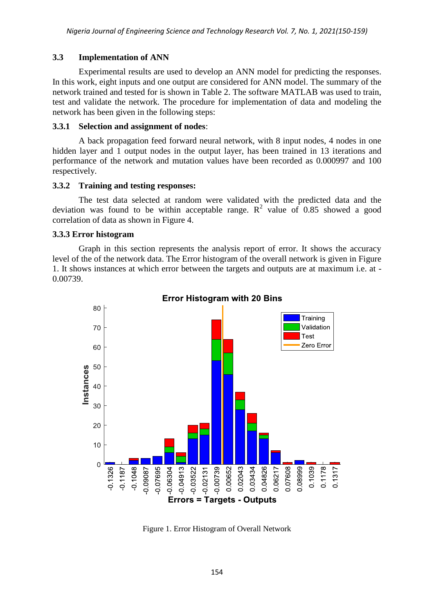# **3.3 Implementation of ANN**

Experimental results are used to develop an ANN model for predicting the responses. In this work, eight inputs and one output are considered for ANN model. The summary of the network trained and tested for is shown in Table 2. The software MATLAB was used to train, test and validate the network. The procedure for implementation of data and modeling the network has been given in the following steps:

## **3.3.1 Selection and assignment of nodes**:

A back propagation feed forward neural network, with 8 input nodes, 4 nodes in one hidden layer and 1 output nodes in the output layer, has been trained in 13 iterations and performance of the network and mutation values have been recorded as 0.000997 and 100 respectively.

## **3.3.2 Training and testing responses:**

The test data selected at random were validated with the predicted data and the deviation was found to be within acceptable range.  $R^2$  value of 0.85 showed a good correlation of data as shown in Figure 4.

## **3.3.3 Error histogram**

Graph in this section represents the analysis report of error. It shows the accuracy level of the of the network data. The Error histogram of the overall network is given in Figure 1. It shows instances at which error between the targets and outputs are at maximum i.e. at - 0.00739.



**Error Histogram with 20 Bins** 

Figure 1. Error Histogram of Overall Network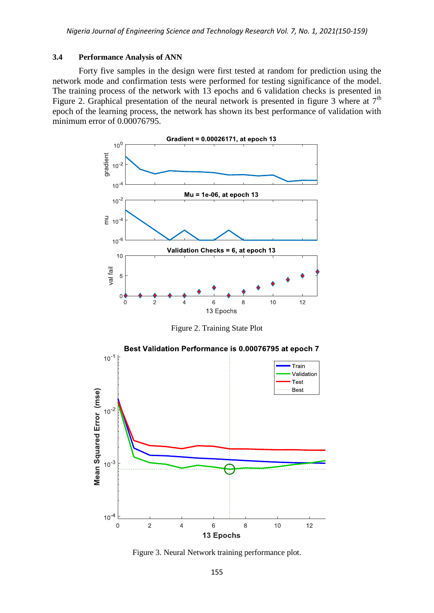#### **3.4 Performance Analysis of ANN**

Forty five samples in the design were first tested at random for prediction using the network mode and confirmation tests were performed for testing significance of the model. The training process of the network with 13 epochs and 6 validation checks is presented in Figure 2. Graphical presentation of the neural network is presented in figure 3 where at  $7<sup>th</sup>$ epoch of the learning process, the network has shown its best performance of validation with minimum error of 0.00076795.



Figure 2. Training State Plot



Figure 3. Neural Network training performance plot.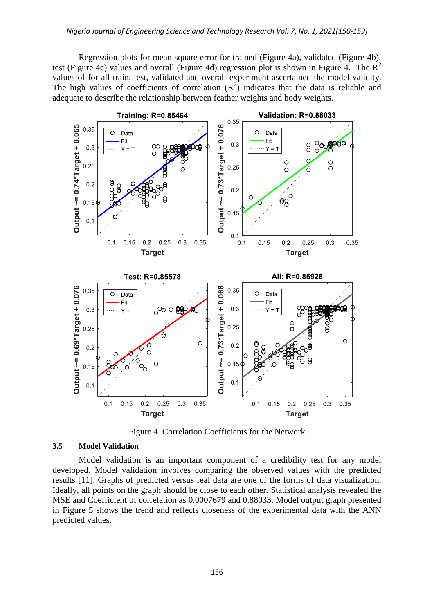Regression plots for mean square error for trained (Figure 4a), validated (Figure 4b), test (Figure 4c) values and overall (Figure 4d) regression plot is shown in Figure 4. The  $R^2$ values of for all train, test, validated and overall experiment ascertained the model validity. The high values of coefficients of correlation  $(R^2)$  indicates that the data is reliable and adequate to describe the relationship between feather weights and body weights.



Figure 4. Correlation Coefficients for the Network

#### **3.5 Model Validation**

Model validation is an important component of a credibility test for any model developed. Model validation involves comparing the observed values with the predicted results [11]. Graphs of predicted versus real data are one of the forms of data visualization. Ideally, all points on the graph should be close to each other. Statistical analysis revealed the MSE and Coefficient of correlation as 0.0007679 and 0.88033. Model output graph presented in Figure 5 shows the trend and reflects closeness of the experimental data with the ANN predicted values.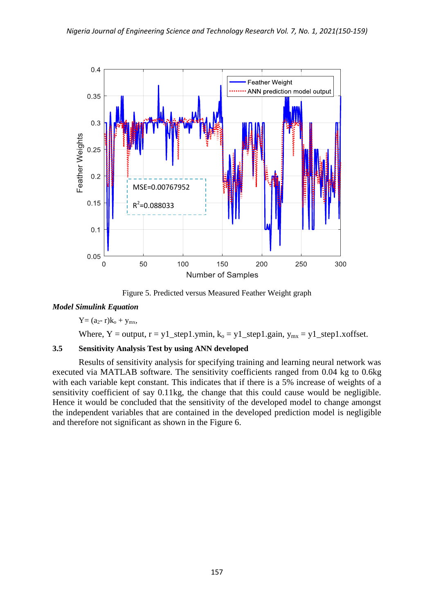

Figure 5. Predicted versus Measured Feather Weight graph

## *Model Simulink Equation*

 $Y=(a_2-r)k_0+y_{mx}$ ,

Where, Y = output,  $r = y1$ \_step1.ymin,  $k_0 = y1$ \_step1.gain,  $y_{mx} = y1$ \_step1.xoffset.

## **3.5 Sensitivity Analysis Test by using ANN developed**

Results of sensitivity analysis for specifying training and learning neural network was executed via MATLAB software. The sensitivity coefficients ranged from 0.04 kg to 0.6kg with each variable kept constant. This indicates that if there is a 5% increase of weights of a sensitivity coefficient of say 0.11kg, the change that this could cause would be negligible. Hence it would be concluded that the sensitivity of the developed model to change amongst the independent variables that are contained in the developed prediction model is negligible and therefore not significant as shown in the Figure 6.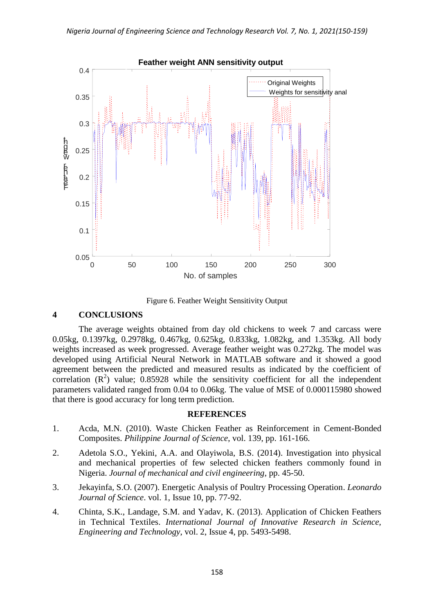

Figure 6. Feather Weight Sensitivity Output

## **4 CONCLUSIONS**

The average weights obtained from day old chickens to week 7 and carcass were 0.05kg, 0.1397kg, 0.2978kg, 0.467kg, 0.625kg, 0.833kg, 1.082kg, and 1.353kg. All body weights increased as week progressed. Average feather weight was 0.272kg. The model was developed using Artificial Neural Network in MATLAB software and it showed a good agreement between the predicted and measured results as indicated by the coefficient of correlation  $(R^2)$  value; 0.85928 while the sensitivity coefficient for all the independent parameters validated ranged from 0.04 to 0.06kg. The value of MSE of 0.000115980 showed that there is good accuracy for long term prediction.

## **REFERENCES**

- 1. Acda, M.N. (2010). Waste Chicken Feather as Reinforcement in Cement-Bonded Composites. *Philippine Journal of Science*, vol. 139, pp. 161-166.
- 2. Adetola S.O., Yekini, A.A. and Olayiwola, B.S. (2014). Investigation into physical and mechanical properties of few selected chicken feathers commonly found in Nigeria. *Journal of mechanical and civil engineering*, pp. 45-50.
- 3. Jekayinfa, S.O. (2007). Energetic Analysis of Poultry Processing Operation. *Leonardo Journal of Science*. vol. 1, Issue 10, pp. 77-92.
- 4. Chinta, S.K., Landage, S.M. and Yadav, K. (2013). Application of Chicken Feathers in Technical Textiles. *International Journal of Innovative Research in Science, Engineering and Technology*, vol. 2, Issue 4, pp. 5493-5498.